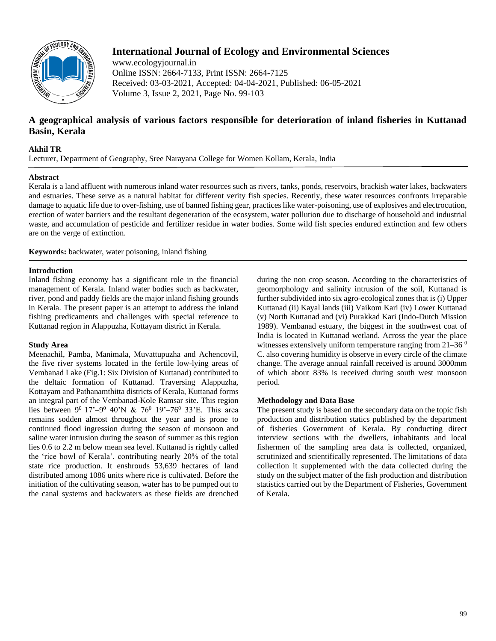

# **International Journal of Ecology and Environmental Sciences**

www.ecologyjournal.in Online ISSN: 2664-7133, Print ISSN: 2664-7125 Received: 03-03-2021, Accepted: 04-04-2021, Published: 06-05-2021 Volume 3, Issue 2, 2021, Page No. 99-103

## **A geographical analysis of various factors responsible for deterioration of inland fisheries in Kuttanad Basin, Kerala**

#### **Akhil TR**

Lecturer, Department of Geography, Sree Narayana College for Women Kollam, Kerala, India

#### **Abstract**

Kerala is a land affluent with numerous inland water resources such as rivers, tanks, ponds, reservoirs, brackish water lakes, backwaters and estuaries. These serve as a natural habitat for different verity fish species. Recently, these water resources confronts irreparable damage to aquatic life due to over-fishing, use of banned fishing gear, practices like water-poisoning, use of explosives and electrocution, erection of water barriers and the resultant degeneration of the ecosystem, water pollution due to discharge of household and industrial waste, and accumulation of pesticide and fertilizer residue in water bodies. Some wild fish species endured extinction and few others are on the verge of extinction.

**Keywords:** backwater, water poisoning, inland fishing

#### **Introduction**

Inland fishing economy has a significant role in the financial management of Kerala. Inland water bodies such as backwater, river, pond and paddy fields are the major inland fishing grounds in Kerala. The present paper is an attempt to address the inland fishing predicaments and challenges with special reference to Kuttanad region in Alappuzha, Kottayam district in Kerala.

### **Study Area**

Meenachil, Pamba, Manimala, Muvattupuzha and Achencovil, the five river systems located in the fertile low-lying areas of Vembanad Lake (Fig.1: Six Division of Kuttanad) contributed to the deltaic formation of Kuttanad. Traversing Alappuzha, Kottayam and Pathanamthitta districts of Kerala, Kuttanad forms an integral part of the Vembanad-Kole Ramsar site. This region lies between  $9^0$  17'- $9^0$  40'N & 76<sup>0</sup> 19'-76<sup>0</sup> 33'E. This area remains sodden almost throughout the year and is prone to continued flood ingression during the season of monsoon and saline water intrusion during the season of summer as this region lies 0.6 to 2.2 m below mean sea level. Kuttanad is rightly called the 'rice bowl of Kerala', contributing nearly 20% of the total state rice production. It enshrouds 53,639 hectares of land distributed among 1086 units where rice is cultivated. Before the initiation of the cultivating season, water has to be pumped out to the canal systems and backwaters as these fields are drenched

during the non crop season. According to the characteristics of geomorphology and salinity intrusion of the soil, Kuttanad is further subdivided into six agro-ecological zones that is (i) Upper Kuttanad (ii) Kayal lands (iii) Vaikom Kari (iv) Lower Kuttanad (v) North Kuttanad and (vi) Purakkad Kari (Indo-Dutch Mission 1989). Vembanad estuary, the biggest in the southwest coat of India is located in Kuttanad wetland. Across the year the place witnesses extensively uniform temperature ranging from  $21-36<sup>0</sup>$ C. also covering humidity is observe in every circle of the climate change. The average annual rainfall received is around 3000mm of which about 83% is received during south west monsoon period.

### **Methodology and Data Base**

The present study is based on the secondary data on the topic fish production and distribution statics published by the department of fisheries Government of Kerala. By conducting direct interview sections with the dwellers, inhabitants and local fishermen of the sampling area data is collected, organized, scrutinized and scientifically represented. The limitations of data collection it supplemented with the data collected during the study on the subject matter of the fish production and distribution statistics carried out by the Department of Fisheries, Government of Kerala.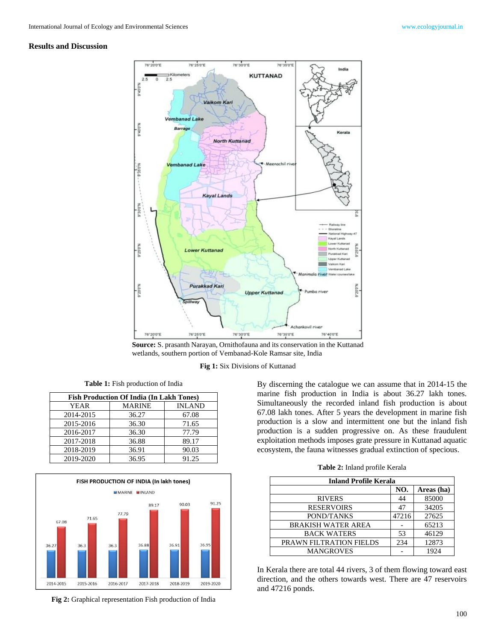### **Results and Discussion**



**Source:** S. prasanth Narayan, Ornithofauna and its conservation in the Kuttanad wetlands, southern portion of Vembanad-Kole Ramsar site, India

#### **Fig 1:** Six Divisions of Kuttanad

**Table 1:** Fish production of India

| <b>Fish Production Of India (In Lakh Tones)</b> |               |               |  |  |
|-------------------------------------------------|---------------|---------------|--|--|
| <b>YEAR</b>                                     | <b>MARINE</b> | <b>INLAND</b> |  |  |
| 2014-2015                                       | 36.27         | 67.08         |  |  |
| 2015-2016                                       | 36.30         | 71.65         |  |  |
| 2016-2017                                       | 36.30         | 77.79         |  |  |
| 2017-2018                                       | 36.88         | 89.17         |  |  |
| 2018-2019                                       | 36.91         | 90.03         |  |  |
| 2019-2020                                       | 36.95         | 91.25         |  |  |



**Fig 2:** Graphical representation Fish production of India

By discerning the catalogue we can assume that in 2014-15 the marine fish production in India is about 36.27 lakh tones. Simultaneously the recorded inland fish production is about 67.08 lakh tones. After 5 years the development in marine fish production is a slow and intermittent one but the inland fish production is a sudden progressive on. As these fraudulent exploitation methods imposes grate pressure in Kuttanad aquatic ecosystem, the fauna witnesses gradual extinction of specious.

**Table 2:** Inland profile Kerala

| <b>Inland Profile Kerala</b> |       |            |  |
|------------------------------|-------|------------|--|
|                              | NO.   | Areas (ha) |  |
| <b>RIVERS</b>                | 44    | 85000      |  |
| <b>RESERVOIRS</b>            | 47    | 34205      |  |
| POND/TANKS                   | 47216 | 27625      |  |
| <b>BRAKISH WATER AREA</b>    |       | 65213      |  |
| <b>BACK WATERS</b>           | 53    | 46129      |  |
| PRAWN FILTRATION FIELDS      | 234   | 12873      |  |
| <b>MANGROVES</b>             |       | 1924       |  |

In Kerala there are total 44 rivers, 3 of them flowing toward east direction, and the others towards west. There are 47 reservoirs and 47216 ponds.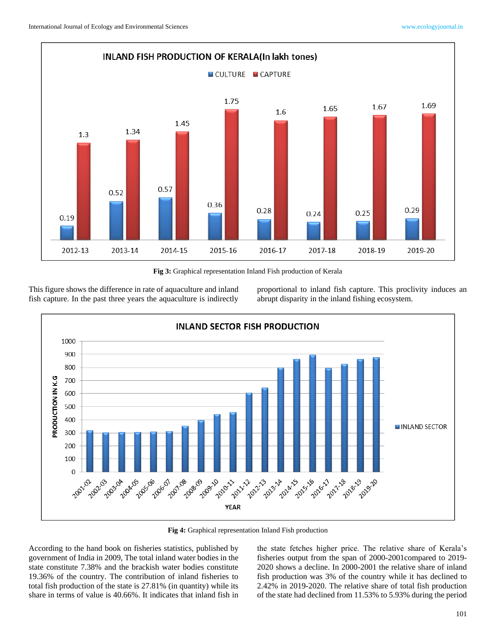

**Fig 3:** Graphical representation Inland Fish production of Kerala

This figure shows the difference in rate of aquaculture and inland fish capture. In the past three years the aquaculture is indirectly

proportional to inland fish capture. This proclivity induces an abrupt disparity in the inland fishing ecosystem.



**Fig 4:** Graphical representation Inland Fish production

According to the hand book on fisheries statistics, published by government of India in 2009, The total inland water bodies in the state constitute 7.38% and the brackish water bodies constitute 19.36% of the country. The contribution of inland fisheries to total fish production of the state is 27.81% (in quantity) while its share in terms of value is 40.66%. It indicates that inland fish in

the state fetches higher price. The relative share of Kerala's fisheries output from the span of 2000-2001compared to 2019- 2020 shows a decline. In 2000-2001 the relative share of inland fish production was 3% of the country while it has declined to 2.42% in 2019-2020. The relative share of total fish production of the state had declined from 11.53% to 5.93% during the period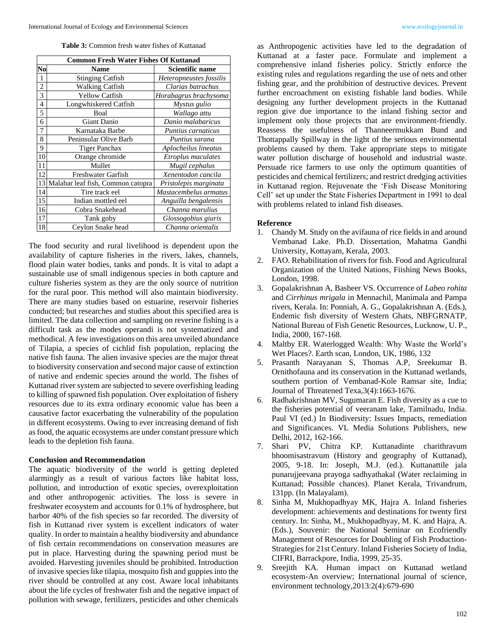**Table 3:** Common fresh water fishes of Kuttanad

| <b>Common Fresh Water Fishes Of Kuttanad</b> |                                   |                         |  |
|----------------------------------------------|-----------------------------------|-------------------------|--|
| No                                           | <b>Name</b>                       | Scientific name         |  |
| 1                                            | <b>Stinging Catfish</b>           | Heteropneustes fossilis |  |
| $\overline{c}$                               | <b>Walking Catfish</b>            | Clarias batrachus       |  |
| 3                                            | <b>Yellow Catfish</b>             | Horabagrus brachysoma   |  |
| 4                                            | Longwhiskered Catfish             | Mystus gulio            |  |
| 5                                            | Boal                              | Wallago attu            |  |
| 6                                            | Giant Danio                       | Danio malabaricus       |  |
| 7                                            | Karnataka Barbe                   | Puntius carnaticus      |  |
| 8                                            | Peninsular Olive Barb             | Puntius sarana          |  |
| 9                                            | <b>Tiger Panchax</b>              | Aplocheilus lineatus    |  |
| 10                                           | Orange chromide                   | Etroplus maculates      |  |
| 11                                           | Mullet                            | Mugil cephalus          |  |
| 12                                           | <b>Freshwater Garfish</b>         | Xenentodon cancila      |  |
| 13                                           | Malabar leaf fish, Common catopra | Pristolepis marginata   |  |
| 14                                           | Tire track eel                    | Mastacembelus armatus   |  |
| 15                                           | Indian mottled eel                | Anguilla bengalensis    |  |
| 16                                           | Cobra Snakehead                   | Channa marulius         |  |
| 17                                           | Tank goby                         | Glossogobius giuris     |  |
| 18                                           | Ceylon Snake head                 | Channa orientalis       |  |

The food security and rural livelihood is dependent upon the availability of capture fisheries in the rivers, lakes, channels, flood plain water bodies, tanks and ponds. It is vital to adapt a sustainable use of small indigenous species in both capture and culture fisheries system as they are the only source of nutrition for the rural poor. This method will also maintain biodiversity. There are many studies based on estuarine, reservoir fisheries conducted; but researches and studies about this specified area is limited. The data collection and sampling on reverine fishing is a difficult task as the modes operandi is not systematized and methodical. A few investigations on this area unveiled abundance of Tilapia, a species of cichlid fish population, replacing the native fish fauna. The alien invasive species are the major threat to biodiversity conservation and second major cause of extinction of native and endemic species around the world. The fishes of Kuttanad river system are subjected to severe overfishing leading to killing of spawned fish population. Over exploitation of fishery resources due to its extra ordinary economic value has been a causative factor exacerbating the vulnerability of the population in different ecosystems. Owing to ever increasing demand of fish as food, the aquatic ecosystems are under constant pressure which leads to the depletion fish fauna.

#### **Conclusion and Recommendation**

The aquatic biodiversity of the world is getting depleted alarmingly as a result of various factors like habitat loss, pollution, and introduction of exotic species, overexploitation and other anthropogenic activities. The loss is severe in freshwater ecosystem and accounts for 0.1% of hydrosphere, but harbor 40% of the fish species so far recorded. The diversity of fish in Kuttanad river system is excellent indicators of water quality. In order to maintain a healthy biodiversity and abundance of fish certain recommendations on conservation measures are put in place. Harvesting during the spawning period must be avoided. Harvesting juveniles should be prohibited. Introduction of invasive species like tilapia, mosquito fish and guppies into the river should be controlled at any cost. Aware local inhabitants about the life cycles of freshwater fish and the negative impact of pollution with sewage, fertilizers, pesticides and other chemicals

as Anthropogenic activities have led to the degradation of Kuttanad at a faster pace. Formulate and implement a comprehensive inland fisheries policy. Strictly enforce the existing rules and regulations regarding the use of nets and other fishing gear, and the prohibition of destructive devices. Prevent further encroachment on existing fishable land bodies. While designing any further development projects in the Kuttanad region give due importance to the inland fishing sector and implement only those projects that are environment-friendly. Reassess the usefulness of Thanneermukkam Bund and Thottappally Spillway in the light of the serious environmental problems caused by them. Take appropriate steps to mitigate water pollution discharge of household and industrial waste. Persuade rice farmers to use only the optimum quantities of pesticides and chemical fertilizers; and restrict dredging activities in Kuttanad region. Rejuvenate the 'Fish Disease Monitoring Cell' set up under the State Fisheries Department in 1991 to deal with problems related to inland fish diseases.

#### **Reference**

- 1. Chandy M. Study on the avifauna of rice fields in and around Vembanad Lake. Ph.D. Dissertation, Mahatma Gandhi University, Kottayam, Kerala, 2003.
- 2. FAO. Rehabilitation of rivers for fish. Food and Agricultural Organization of the United Nations, Fiishing News Books, London, 1998.
- 3. Gopalakrishnan A, Basheer VS. Occurrence of *Labeo rohita* and *Cirrhinus mrigala* in Mennachil, Manimala and Pampa rivers, Kerala. In: Ponniah, A. G., Gopalakrishnan A. (Eds.), Endemic fish diversity of Western Ghats, NBFGRNATP, National Bureau of Fish Genetic Resources, Lucknow, U. P., India, 2000, 167-168.
- 4. Maltby ER. Waterlogged Wealth: Why Waste the World's Wet Places?. Earth scan, London, UK, 1986, 132
- 5. Prasanth Narayanan S, Thomas A.P, Sreekumar B. Ornithofauna and its conservation in the Kuttanad wetlands, southern portion of Vembanad-Kole Ramsar site, India; Journal of Threatened Texa,3(4):1663-1676.
- 6. Radhakrishnan MV, Sugumaran E. Fish diversity as a cue to the fisheries potential of veeranam lake, Tamilnadu, India. Paul VI (ed.) In Biodiversity: Issues Impacts, remediation and Significances. VL Media Solutions Publishers, new Delhi, 2012, 162-166.
- 7. Shari PV, Chitra KP. Kuttanadinte charithravum bhoomisastravum (History and geography of Kuttanad), 2005, 9-18. In: Joseph, M.J. (ed.). Kuttanattile jala punarujjeevana prayoga sadhyathakal (Water reclaiming in Kuttanad; Possible chances). Planet Kerala, Trivandrum, 131pp. (In Malayalam).
- 8. Sinha M, Mukhopadhyay MK, Hajra A. Inland fisheries development: achievements and destinations for twenty first century. In: Sinha, M., Mukhopadhyay, M. K. and Hajra, A. (Eds.), Souvenir: the National Seminar on Ecofriendly Management of Resources for Doubling of Fish Production-Strategies for 21st Century. Inland Fisheries Society of India, CIFRI, Barrackpore, India, 1999, 25-35.
- 9. Sreejith KA. Human impact on Kuttanad wetland ecosystem-An overview; International journal of science, environment technology,2013:2(4):679-690